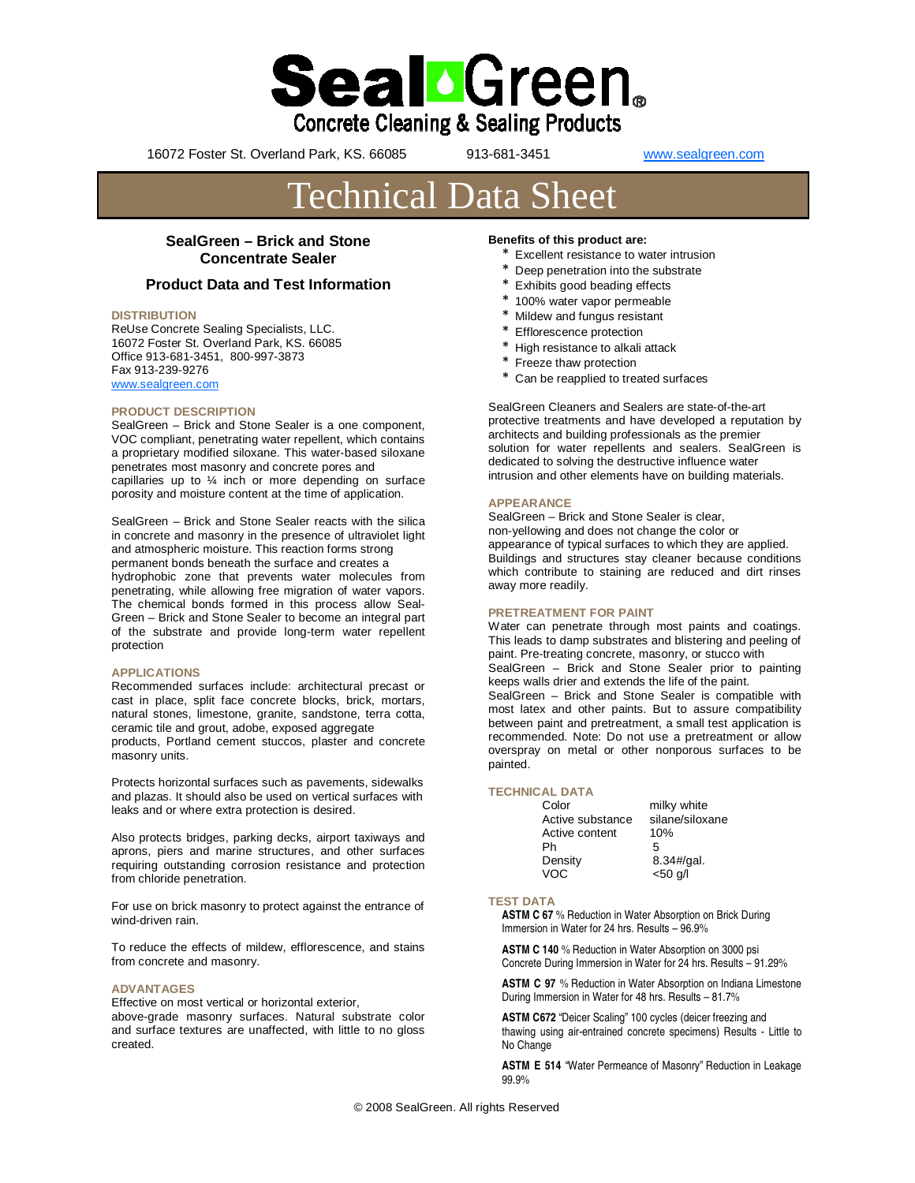

16072 Foster St. Overland Park, KS. 66085 913-681-3451 www.sealgreen.com

# Technical Data Sheet

## **SealGreen – Brick and Stone Concentrate Sealer**

### **Product Data and Test Information**

#### **DISTRIBUTION**

ReUse Concrete Sealing Specialists, LLC. 16072 Foster St. Overland Park, KS. 66085 Office 913-681-3451, 800-997-3873 Fax 913-239-9276 www.sealgreen.com

#### **PRODUCT DESCRIPTION**

SealGreen – Brick and Stone Sealer is a one component, VOC compliant, penetrating water repellent, which contains a proprietary modified siloxane. This water-based siloxane penetrates most masonry and concrete pores and capillaries up to ¼ inch or more depending on surface porosity and moisture content at the time of application.

SealGreen – Brick and Stone Sealer reacts with the silica in concrete and masonry in the presence of ultraviolet light and atmospheric moisture. This reaction forms strong permanent bonds beneath the surface and creates a hydrophobic zone that prevents water molecules from penetrating, while allowing free migration of water vapors. The chemical bonds formed in this process allow Seal-Green – Brick and Stone Sealer to become an integral part of the substrate and provide long-term water repellent protection

#### **APPLICATIONS**

Recommended surfaces include: architectural precast or cast in place, split face concrete blocks, brick, mortars, natural stones, limestone, granite, sandstone, terra cotta, ceramic tile and grout, adobe, exposed aggregate products, Portland cement stuccos, plaster and concrete masonry units.

Protects horizontal surfaces such as pavements, sidewalks and plazas. It should also be used on vertical surfaces with leaks and or where extra protection is desired.

Also protects bridges, parking decks, airport taxiways and aprons, piers and marine structures, and other surfaces requiring outstanding corrosion resistance and protection from chloride penetration.

For use on brick masonry to protect against the entrance of wind-driven rain.

To reduce the effects of mildew, efflorescence, and stains from concrete and masonry.

#### **ADVANTAGES**

Effective on most vertical or horizontal exterior, above-grade masonry surfaces. Natural substrate color and surface textures are unaffected, with little to no gloss created.

#### **Benefits of this product are:**

- \* Excellent resistance to water intrusion
- \* Deep penetration into the substrate
- \* Exhibits good beading effects
- \* 100% water vapor permeable
- Mildew and fungus resistant
- \* Efflorescence protection
- \* High resistance to alkali attack
- \* Freeze thaw protection
- \* Can be reapplied to treated surfaces

SealGreen Cleaners and Sealers are state-of-the-art protective treatments and have developed a reputation by architects and building professionals as the premier solution for water repellents and sealers. SealGreen is dedicated to solving the destructive influence water intrusion and other elements have on building materials.

#### **APPEARANCE**

SealGreen – Brick and Stone Sealer is clear, non-yellowing and does not change the color or appearance of typical surfaces to which they are applied. Buildings and structures stay cleaner because conditions which contribute to staining are reduced and dirt rinses away more readily.

#### **PRETREATMENT FOR PAINT**

Water can penetrate through most paints and coatings. This leads to damp substrates and blistering and peeling of paint. Pre-treating concrete, masonry, or stucco with SealGreen – Brick and Stone Sealer prior to painting keeps walls drier and extends the life of the paint. SealGreen – Brick and Stone Sealer is compatible with most latex and other paints. But to assure compatibility between paint and pretreatment, a small test application is recommended. Note: Do not use a pretreatment or allow overspray on metal or other nonporous surfaces to be painted.

#### **TECHNICAL DATA**

| Color            | milky white     |
|------------------|-----------------|
| Active substance | silane/siloxane |
| Active content   | 10%             |
| Ph               | 5               |
| Density          | 8.34#/gal.      |
| VOC.             | $<$ 50 $q$ /    |

#### **TEST DATA**

**ASTM C 67** % Reduction in Water Absorption on Brick During Immersion in Water for 24 hrs. Results – 96.9%

**ASTM C 140** % Reduction in Water Absorption on 3000 psi Concrete During Immersion in Water for 24 hrs. Results – 91.29%

**ASTM C 97** % Reduction in Water Absorption on Indiana Limestone During Immersion in Water for 48 hrs. Results – 81.7%

**ASTM C672** "Deicer Scaling" 100 cycles (deicer freezing and thawing using air-entrained concrete specimens) Results - Little to No Change

**ASTM E 514** "Water Permeance of Masonry" Reduction in Leakage 99.9%